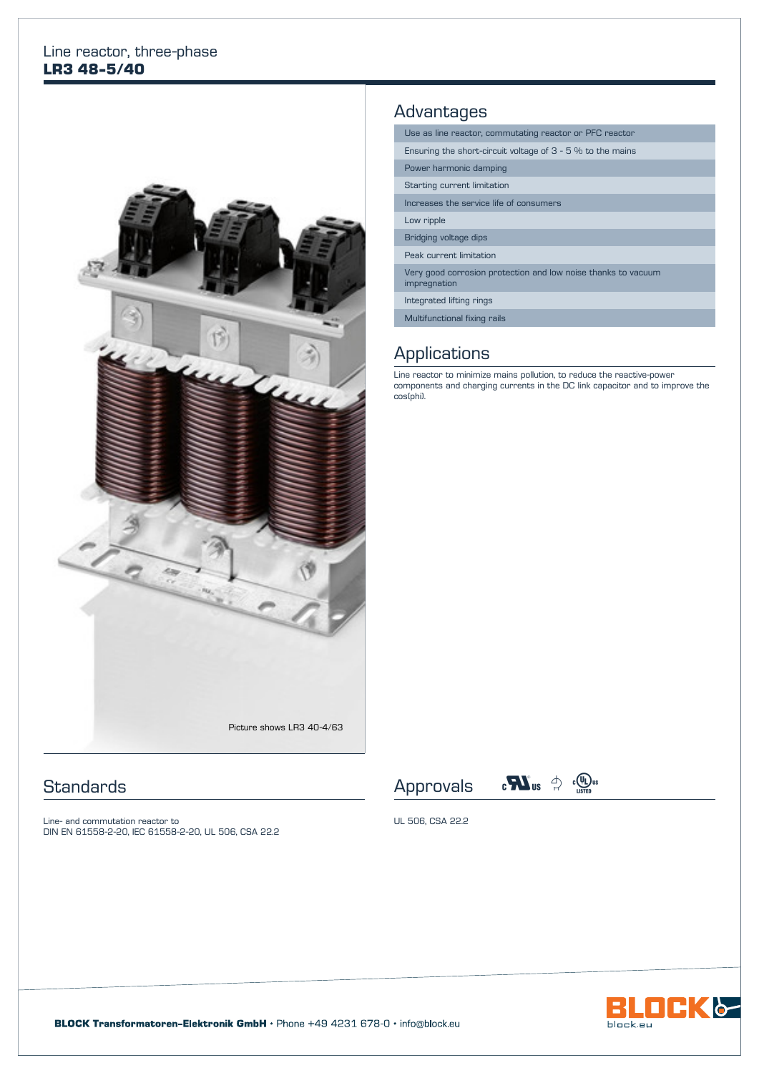#### Line reactor, three-phase **LR3 48-5/40**



## **Standards**

Line- and commutation reactor to DIN EN 61558-2-20, IEC 61558-2-20, UL 506, CSA 22.2

## Advantages

| Use as line reactor, commutating reactor or PFC reactor                       |  |  |  |  |
|-------------------------------------------------------------------------------|--|--|--|--|
| Ensuring the short-circuit voltage of $3 - 5$ % to the mains                  |  |  |  |  |
| Power harmonic damping                                                        |  |  |  |  |
| Starting current limitation                                                   |  |  |  |  |
| Increases the service life of consumers                                       |  |  |  |  |
| Low ripple                                                                    |  |  |  |  |
| Bridging voltage dips                                                         |  |  |  |  |
| Peak current limitation                                                       |  |  |  |  |
| Very good corrosion protection and low noise thanks to vacuum<br>impregnation |  |  |  |  |
| Integrated lifting rings                                                      |  |  |  |  |
| Multifunctional fixing rails                                                  |  |  |  |  |

## **Applications**

Line reactor to minimize mains pollution, to reduce the reactive-power components and charging currents in the DC link capacitor and to improve the cos(phi).





UL 506, CSA 22.2